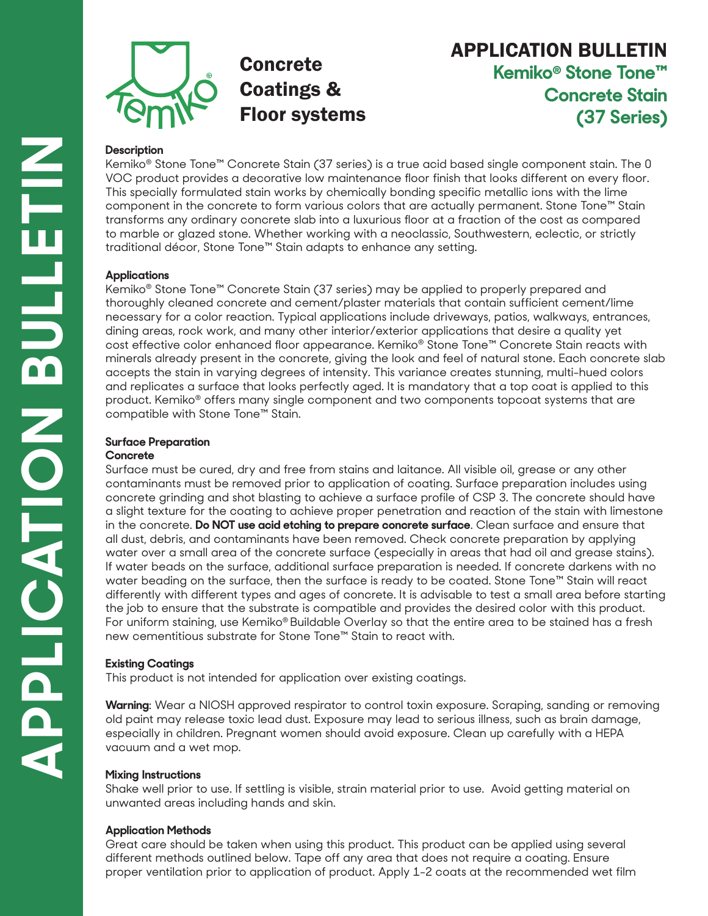

# Concrete Coatings & Floor systems

# APPLICATION BULLETIN **Kemiko® Stone Tone™ Concrete Stain (37 Series)**

## **Description**

Kemiko® Stone Tone™ Concrete Stain (37 series) is a true acid based single component stain. The 0 VOC product provides a decorative low maintenance floor finish that looks different on every floor. This specially formulated stain works by chemically bonding specific metallic ions with the lime component in the concrete to form various colors that are actually permanent. Stone Tone™ Stain transforms any ordinary concrete slab into a luxurious floor at a fraction of the cost as compared to marble or glazed stone. Whether working with a neoclassic, Southwestern, eclectic, or strictly traditional décor, Stone Tone™ Stain adapts to enhance any setting.

### **Applications**

Kemiko® Stone Tone™ Concrete Stain (37 series) may be applied to properly prepared and thoroughly cleaned concrete and cement/plaster materials that contain sufficient cement/lime necessary for a color reaction. Typical applications include driveways, patios, walkways, entrances, dining areas, rock work, and many other interior/exterior applications that desire a quality yet cost effective color enhanced floor appearance. Kemiko® Stone Tone™ Concrete Stain reacts with minerals already present in the concrete, giving the look and feel of natural stone. Each concrete slab accepts the stain in varying degrees of intensity. This variance creates stunning, multi-hued colors and replicates a surface that looks perfectly aged. It is mandatory that a top coat is applied to this product. Kemiko® offers many single component and two components topcoat systems that are compatible with Stone Tone™ Stain.

# **Surface Preparation**

### **Concrete**

Surface must be cured, dry and free from stains and laitance. All visible oil, grease or any other contaminants must be removed prior to application of coating. Surface preparation includes using concrete grinding and shot blasting to achieve a surface profile of CSP 3. The concrete should have a slight texture for the coating to achieve proper penetration and reaction of the stain with limestone in the concrete. **Do NOT use acid etching to prepare concrete surface**. Clean surface and ensure that all dust, debris, and contaminants have been removed. Check concrete preparation by applying water over a small area of the concrete surface (especially in areas that had oil and grease stains). If water beads on the surface, additional surface preparation is needed. If concrete darkens with no water beading on the surface, then the surface is ready to be coated. Stone Tone™ Stain will react differently with different types and ages of concrete. It is advisable to test a small area before starting the job to ensure that the substrate is compatible and provides the desired color with this product. For uniform staining, use Kemiko® Buildable Overlay so that the entire area to be stained has a fresh new cementitious substrate for Stone Tone™ Stain to react with.

# **Existing Coatings**

This product is not intended for application over existing coatings.

**Warning**: Wear a NIOSH approved respirator to control toxin exposure. Scraping, sanding or removing old paint may release toxic lead dust. Exposure may lead to serious illness, such as brain damage, especially in children. Pregnant women should avoid exposure. Clean up carefully with a HEPA vacuum and a wet mop.

### **Mixing Instructions**

Shake well prior to use. If settling is visible, strain material prior to use. Avoid getting material on unwanted areas including hands and skin.

### **Application Methods**

Great care should be taken when using this product. This product can be applied using several different methods outlined below. Tape off any area that does not require a coating. Ensure proper ventilation prior to application of product. Apply 1-2 coats at the recommended wet film